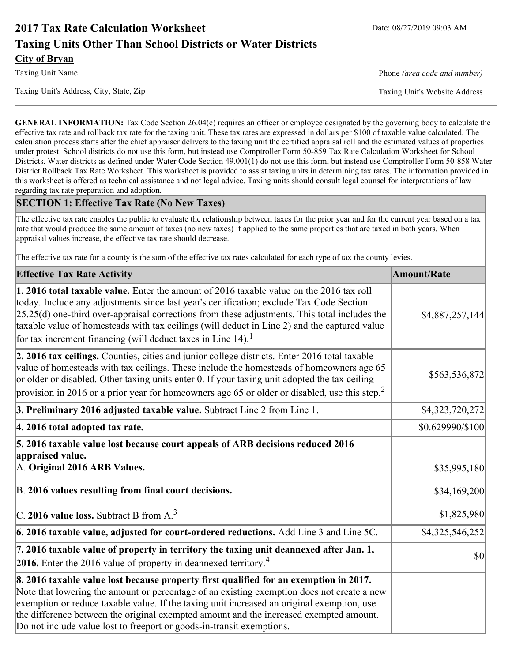# **2017 Tax Rate Calculation Worksheet** Date: 08/27/2019 09:03 AM **Taxing Units Other Than School Districts or Water Districts City of Bryan**

Taxing Unit Name **Phone** *(area code and number)* Phone *(area code and number)* 

Taxing Unit's Address, City, State, Zip Taxing Unit's Website Address

**GENERAL INFORMATION:** Tax Code Section 26.04(c) requires an officer or employee designated by the governing body to calculate the effective tax rate and rollback tax rate for the taxing unit. These tax rates are expressed in dollars per \$100 of taxable value calculated. The calculation process starts after the chief appraiser delivers to the taxing unit the certified appraisal roll and the estimated values of properties under protest. School districts do not use this form, but instead use Comptroller Form 50-859 Tax Rate Calculation Worksheet for School Districts. Water districts as defined under Water Code Section 49.001(1) do not use this form, but instead use Comptroller Form 50-858 Water District Rollback Tax Rate Worksheet. This worksheet is provided to assist taxing units in determining tax rates. The information provided in this worksheet is offered as technical assistance and not legal advice. Taxing units should consult legal counsel for interpretations of law regarding tax rate preparation and adoption.

### **SECTION 1: Effective Tax Rate (No New Taxes)**

The effective tax rate enables the public to evaluate the relationship between taxes for the prior year and for the current year based on a tax rate that would produce the same amount of taxes (no new taxes) if applied to the same properties that are taxed in both years. When appraisal values increase, the effective tax rate should decrease.

The effective tax rate for a county is the sum of the effective tax rates calculated for each type of tax the county levies.

| <b>Effective Tax Rate Activity</b>                                                                                                                                                                                                                                                                                                                                                                                                                             | <b>Amount/Rate</b>          |
|----------------------------------------------------------------------------------------------------------------------------------------------------------------------------------------------------------------------------------------------------------------------------------------------------------------------------------------------------------------------------------------------------------------------------------------------------------------|-----------------------------|
| <b>1. 2016 total taxable value.</b> Enter the amount of 2016 taxable value on the 2016 tax roll<br>today. Include any adjustments since last year's certification; exclude Tax Code Section<br>$[25.25(d)$ one-third over-appraisal corrections from these adjustments. This total includes the<br>taxable value of homesteads with tax ceilings (will deduct in Line 2) and the captured value<br>for tax increment financing (will deduct taxes in Line 14). | \$4,887,257,144]            |
| 2. 2016 tax ceilings. Counties, cities and junior college districts. Enter 2016 total taxable<br>value of homesteads with tax ceilings. These include the homesteads of homeowners age 65<br>or older or disabled. Other taxing units enter 0. If your taxing unit adopted the tax ceiling<br>provision in 2016 or a prior year for homeowners age 65 or older or disabled, use this step. <sup>2</sup>                                                        | \$563,536,872               |
| 3. Preliminary 2016 adjusted taxable value. Subtract Line 2 from Line 1.                                                                                                                                                                                                                                                                                                                                                                                       | \$4,323,720,272             |
| 4. 2016 total adopted tax rate.                                                                                                                                                                                                                                                                                                                                                                                                                                | \$0.629990/\$100            |
| 5. 2016 taxable value lost because court appeals of ARB decisions reduced 2016<br>appraised value.<br>A. Original 2016 ARB Values.                                                                                                                                                                                                                                                                                                                             | \$35,995,180                |
| B. 2016 values resulting from final court decisions.<br>C. 2016 value loss. Subtract B from $A3$                                                                                                                                                                                                                                                                                                                                                               | \$34,169,200<br>\$1,825,980 |
| 6. 2016 taxable value, adjusted for court-ordered reductions. Add Line 3 and Line 5C.                                                                                                                                                                                                                                                                                                                                                                          | \$4,325,546,252             |
| 7. 2016 taxable value of property in territory the taxing unit deannexed after Jan. 1,<br><b>2016.</b> Enter the 2016 value of property in deannexed territory. <sup>4</sup>                                                                                                                                                                                                                                                                                   | <b>\$0</b>                  |
| 8. 2016 taxable value lost because property first qualified for an exemption in 2017.<br>Note that lowering the amount or percentage of an existing exemption does not create a new<br>exemption or reduce taxable value. If the taxing unit increased an original exemption, use<br>the difference between the original exempted amount and the increased exempted amount.<br>Do not include value lost to freeport or goods-in-transit exemptions.           |                             |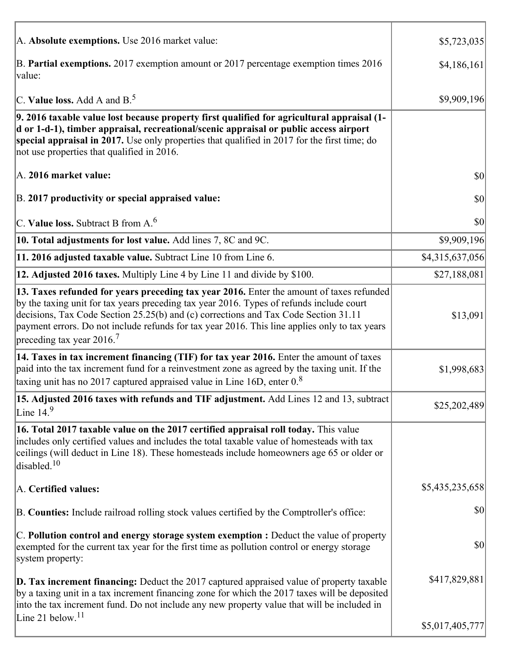| A. Absolute exemptions. Use 2016 market value:                                                                                                                                                                                                                                                                                                                                                                         | \$5,723,035     |
|------------------------------------------------------------------------------------------------------------------------------------------------------------------------------------------------------------------------------------------------------------------------------------------------------------------------------------------------------------------------------------------------------------------------|-----------------|
| B. Partial exemptions. 2017 exemption amount or 2017 percentage exemption times 2016<br>value:                                                                                                                                                                                                                                                                                                                         | \$4,186,161     |
| C. Value loss. Add A and $B^5$ .                                                                                                                                                                                                                                                                                                                                                                                       | \$9,909,196     |
| 9. 2016 taxable value lost because property first qualified for agricultural appraisal (1-<br>d or 1-d-1), timber appraisal, recreational/scenic appraisal or public access airport<br>special appraisal in 2017. Use only properties that qualified in 2017 for the first time; do<br>not use properties that qualified in 2016.                                                                                      |                 |
| A. 2016 market value:                                                                                                                                                                                                                                                                                                                                                                                                  | \$0             |
| B. 2017 productivity or special appraised value:                                                                                                                                                                                                                                                                                                                                                                       | \$0             |
| C. Value loss. Subtract B from $A6$                                                                                                                                                                                                                                                                                                                                                                                    | $ 10\rangle$    |
| 10. Total adjustments for lost value. Add lines 7, 8C and 9C.                                                                                                                                                                                                                                                                                                                                                          | \$9,909,196     |
| 11. 2016 adjusted taxable value. Subtract Line 10 from Line 6.                                                                                                                                                                                                                                                                                                                                                         | \$4,315,637,056 |
| 12. Adjusted 2016 taxes. Multiply Line 4 by Line 11 and divide by \$100.                                                                                                                                                                                                                                                                                                                                               | \$27,188,081    |
| 13. Taxes refunded for years preceding tax year 2016. Enter the amount of taxes refunded<br>by the taxing unit for tax years preceding tax year 2016. Types of refunds include court<br>decisions, Tax Code Section 25.25(b) and (c) corrections and Tax Code Section 31.11<br>payment errors. Do not include refunds for tax year 2016. This line applies only to tax years<br>preceding tax year $2016$ <sup>7</sup> | \$13,091        |
| 14. Taxes in tax increment financing (TIF) for tax year 2016. Enter the amount of taxes<br>paid into the tax increment fund for a reinvestment zone as agreed by the taxing unit. If the<br>taxing unit has no 2017 captured appraised value in Line 16D, enter $0.8$                                                                                                                                                  | \$1,998,683     |
| 15. Adjusted 2016 taxes with refunds and TIF adjustment. Add Lines 12 and 13, subtract<br>Line $149$                                                                                                                                                                                                                                                                                                                   | \$25,202,489    |
| 16. Total 2017 taxable value on the 2017 certified appraisal roll today. This value<br>includes only certified values and includes the total taxable value of homesteads with tax<br>ceilings (will deduct in Line 18). These homesteads include homeowners age 65 or older or<br>disabled. <sup>10</sup>                                                                                                              |                 |
| A. Certified values:                                                                                                                                                                                                                                                                                                                                                                                                   | \$5,435,235,658 |
| B. Counties: Include railroad rolling stock values certified by the Comptroller's office:                                                                                                                                                                                                                                                                                                                              | \$0             |
| C. Pollution control and energy storage system exemption : Deduct the value of property<br>exempted for the current tax year for the first time as pollution control or energy storage<br>system property:                                                                                                                                                                                                             | \$0             |
| D. Tax increment financing: Deduct the 2017 captured appraised value of property taxable<br>by a taxing unit in a tax increment financing zone for which the 2017 taxes will be deposited<br>into the tax increment fund. Do not include any new property value that will be included in                                                                                                                               | \$417,829,881   |
| Line 21 below. <sup>11</sup>                                                                                                                                                                                                                                                                                                                                                                                           | \$5,017,405,777 |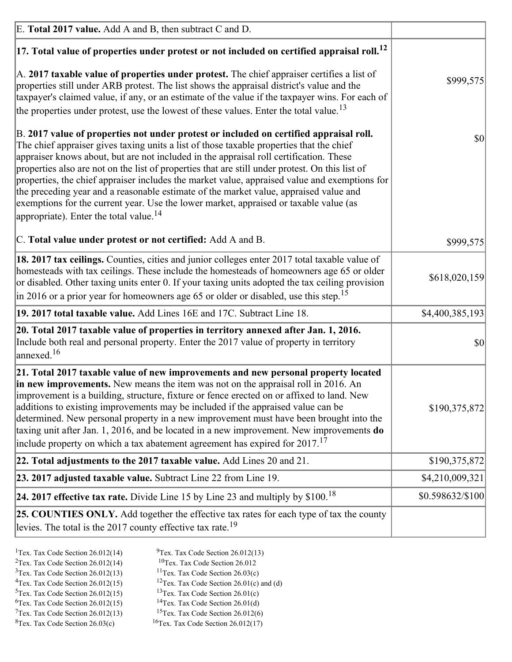| E. Total 2017 value. Add A and B, then subtract C and D.                                                                                                                                                                                                                                                                                                                                                                                                                                                                                                                                                                                                                                                                 |                  |
|--------------------------------------------------------------------------------------------------------------------------------------------------------------------------------------------------------------------------------------------------------------------------------------------------------------------------------------------------------------------------------------------------------------------------------------------------------------------------------------------------------------------------------------------------------------------------------------------------------------------------------------------------------------------------------------------------------------------------|------------------|
| $ 17$ . Total value of properties under protest or not included on certified appraisal roll. <sup>12</sup>                                                                                                                                                                                                                                                                                                                                                                                                                                                                                                                                                                                                               |                  |
| $\vert$ A. 2017 taxable value of properties under protest. The chief appraiser certifies a list of<br>properties still under ARB protest. The list shows the appraisal district's value and the<br>taxpayer's claimed value, if any, or an estimate of the value if the taxpayer wins. For each of<br>the properties under protest, use the lowest of these values. Enter the total value. <sup>13</sup>                                                                                                                                                                                                                                                                                                                 | \$999,575        |
| B. 2017 value of properties not under protest or included on certified appraisal roll.<br>The chief appraiser gives taxing units a list of those taxable properties that the chief<br>appraiser knows about, but are not included in the appraisal roll certification. These<br>properties also are not on the list of properties that are still under protest. On this list of<br>properties, the chief appraiser includes the market value, appraised value and exemptions for<br>the preceding year and a reasonable estimate of the market value, appraised value and<br>exemptions for the current year. Use the lower market, appraised or taxable value (as<br>appropriate). Enter the total value. <sup>14</sup> | \$0              |
| C. Total value under protest or not certified: Add A and B.                                                                                                                                                                                                                                                                                                                                                                                                                                                                                                                                                                                                                                                              | \$999,575        |
| 18. 2017 tax ceilings. Counties, cities and junior colleges enter 2017 total taxable value of<br>homesteads with tax ceilings. These include the homesteads of homeowners age 65 or older<br>or disabled. Other taxing units enter 0. If your taxing units adopted the tax ceiling provision<br>$\vert$ in 2016 or a prior year for homeowners age 65 or older or disabled, use this step. <sup>15</sup>                                                                                                                                                                                                                                                                                                                 | \$618,020,159    |
| 19. 2017 total taxable value. Add Lines 16E and 17C. Subtract Line 18.                                                                                                                                                                                                                                                                                                                                                                                                                                                                                                                                                                                                                                                   | \$4,400,385,193  |
| 20. Total 2017 taxable value of properties in territory annexed after Jan. 1, 2016.<br>Include both real and personal property. Enter the 2017 value of property in territory<br>annexed. <sup>16</sup>                                                                                                                                                                                                                                                                                                                                                                                                                                                                                                                  | $ 10\rangle$     |
| 21. Total 2017 taxable value of new improvements and new personal property located<br>in new improvements. New means the item was not on the appraisal roll in 2016. An<br>improvement is a building, structure, fixture or fence erected on or affixed to land. New<br>additions to existing improvements may be included if the appraised value can be<br>determined. New personal property in a new improvement must have been brought into the<br>taxing unit after Jan. 1, 2016, and be located in a new improvement. New improvements do<br>include property on which a tax abatement agreement has expired for $2017$ . <sup>17</sup>                                                                             | \$190,375,872    |
| 22. Total adjustments to the 2017 taxable value. Add Lines 20 and 21.                                                                                                                                                                                                                                                                                                                                                                                                                                                                                                                                                                                                                                                    | \$190,375,872    |
| 23. 2017 adjusted taxable value. Subtract Line 22 from Line 19.                                                                                                                                                                                                                                                                                                                                                                                                                                                                                                                                                                                                                                                          | \$4,210,009,321] |
| 24. 2017 effective tax rate. Divide Line 15 by Line 23 and multiply by $$100$ . <sup>18</sup>                                                                                                                                                                                                                                                                                                                                                                                                                                                                                                                                                                                                                            | \$0.598632/\$100 |
| 25. COUNTIES ONLY. Add together the effective tax rates for each type of tax the county<br>levies. The total is the 2017 county effective tax rate. <sup>19</sup>                                                                                                                                                                                                                                                                                                                                                                                                                                                                                                                                                        |                  |

- <sup>2</sup>Tex. Tax Code Section 26.012(14)
- <sup>1</sup>Tex. Tax Code Section 26.012(14) <sup>9</sup>Tex. Tax Code Section 26.012(13) <sup>9</sup>Tex. Tax Code Section 26.012
	-
- <sup>3</sup>Tex. Tax Code Section 26.012(13) <sup>11</sup>Tex. Tax Code Section 26.03(c) <sup>4</sup>Tex. Tax Code Section 26.01(c) and <sup>12</sup>Tex. Tax Code Section 26.01(c) and <sup>12</sup>Tex. Tax Code Section 26.01(c) and <sup>12</sup>Tex. Tax Code Section 26.01(c) <sup>12</sup>Tex. Tax Code Section 26.01(c) and (d)
- 
- <sup>5</sup>Tex. Tax Code Section 26.012(15) <sup>13</sup>Tex. Tax Code Section 26.01(c) <sup>6</sup>Tex. Tax Code Section 26.01(d)
- <sup>6</sup>Tex. Tax Code Section 26.012(15) <sup>14</sup>Tex. Tax Code Section 26.01(d)<sup>7</sup>Tex. Tax Code Section 26.012(6)
- $7$ Tex. Tax Code Section 26.012(13)
- 
- 
- ${}^{8}$ Tex. Tax Code Section 26.03(c)  ${}^{16}$ Tex. Tax Code Section 26.012(17)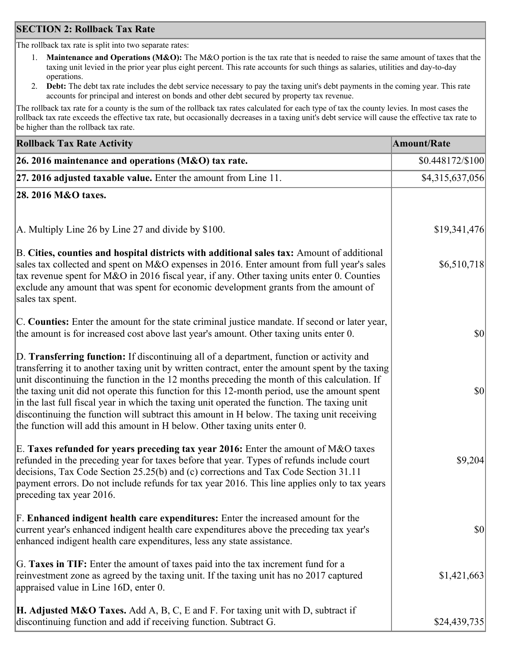### **SECTION 2: Rollback Tax Rate**

The rollback tax rate is split into two separate rates:

- 1. **Maintenance and Operations (M&O):** The M&O portion is the tax rate that is needed to raise the same amount of taxes that the taxing unit levied in the prior year plus eight percent. This rate accounts for such things as salaries, utilities and day-to-day operations.
- 2. **Debt:** The debt tax rate includes the debt service necessary to pay the taxing unit's debt payments in the coming year. This rate accounts for principal and interest on bonds and other debt secured by property tax revenue.

The rollback tax rate for a county is the sum of the rollback tax rates calculated for each type of tax the county levies. In most cases the rollback tax rate exceeds the effective tax rate, but occasionally decreases in a taxing unit's debt service will cause the effective tax rate to be higher than the rollback tax rate.

| <b>Rollback Tax Rate Activity</b>                                                                                                                                                                                                                                                                                                                                                                                                                                                                                                                                                                                                                                       | <b>Amount/Rate</b> |
|-------------------------------------------------------------------------------------------------------------------------------------------------------------------------------------------------------------------------------------------------------------------------------------------------------------------------------------------------------------------------------------------------------------------------------------------------------------------------------------------------------------------------------------------------------------------------------------------------------------------------------------------------------------------------|--------------------|
| 26. 2016 maintenance and operations (M&O) tax rate.                                                                                                                                                                                                                                                                                                                                                                                                                                                                                                                                                                                                                     | \$0.448172/\$100   |
| $ 27.2016$ adjusted taxable value. Enter the amount from Line 11.                                                                                                                                                                                                                                                                                                                                                                                                                                                                                                                                                                                                       | \$4,315,637,056    |
| 28. 2016 M&O taxes.                                                                                                                                                                                                                                                                                                                                                                                                                                                                                                                                                                                                                                                     |                    |
|                                                                                                                                                                                                                                                                                                                                                                                                                                                                                                                                                                                                                                                                         |                    |
| A. Multiply Line 26 by Line 27 and divide by \$100.                                                                                                                                                                                                                                                                                                                                                                                                                                                                                                                                                                                                                     | \$19,341,476       |
| B. Cities, counties and hospital districts with additional sales tax: Amount of additional<br>sales tax collected and spent on M&O expenses in 2016. Enter amount from full year's sales<br>tax revenue spent for M&O in 2016 fiscal year, if any. Other taxing units enter 0. Counties<br>exclude any amount that was spent for economic development grants from the amount of<br>sales tax spent.                                                                                                                                                                                                                                                                     | \$6,510,718        |
| C. Counties: Enter the amount for the state criminal justice mandate. If second or later year,<br>the amount is for increased cost above last year's amount. Other taxing units enter 0.                                                                                                                                                                                                                                                                                                                                                                                                                                                                                | $ 10\rangle$       |
| D. Transferring function: If discontinuing all of a department, function or activity and<br>transferring it to another taxing unit by written contract, enter the amount spent by the taxing<br>unit discontinuing the function in the 12 months preceding the month of this calculation. If<br>the taxing unit did not operate this function for this 12-month period, use the amount spent<br>in the last full fiscal year in which the taxing unit operated the function. The taxing unit<br>discontinuing the function will subtract this amount in H below. The taxing unit receiving<br>the function will add this amount in H below. Other taxing units enter 0. | $ 10\rangle$       |
| E. Taxes refunded for years preceding tax year 2016: Enter the amount of M&O taxes<br>refunded in the preceding year for taxes before that year. Types of refunds include court<br>decisions, Tax Code Section 25.25(b) and (c) corrections and Tax Code Section 31.11<br>payment errors. Do not include refunds for tax year 2016. This line applies only to tax years<br>preceding tax year 2016.                                                                                                                                                                                                                                                                     | \$9,204            |
| F. Enhanced indigent health care expenditures: Enter the increased amount for the<br>current year's enhanced indigent health care expenditures above the preceding tax year's<br>enhanced indigent health care expenditures, less any state assistance.                                                                                                                                                                                                                                                                                                                                                                                                                 | $ 10\rangle$       |
| G. Taxes in TIF: Enter the amount of taxes paid into the tax increment fund for a<br>reinvestment zone as agreed by the taxing unit. If the taxing unit has no 2017 captured<br>appraised value in Line 16D, enter 0.                                                                                                                                                                                                                                                                                                                                                                                                                                                   | \$1,421,663        |
| <b>H. Adjusted M&amp;O Taxes.</b> Add A, B, C, E and F. For taxing unit with D, subtract if<br>discontinuing function and add if receiving function. Subtract G.                                                                                                                                                                                                                                                                                                                                                                                                                                                                                                        | \$24,439,735       |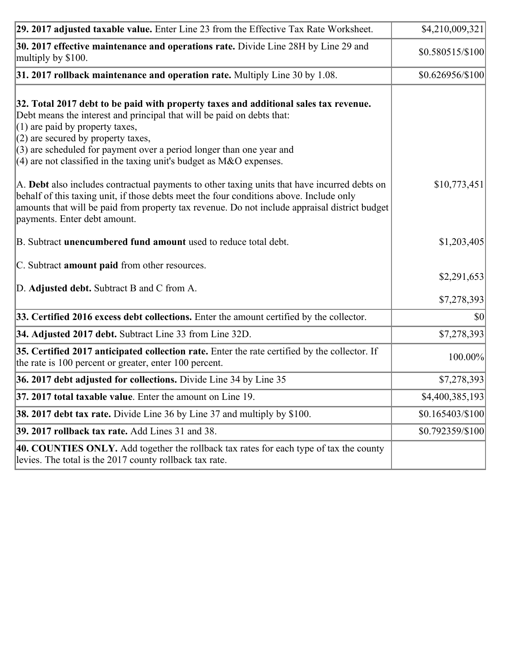| 29. 2017 adjusted taxable value. Enter Line 23 from the Effective Tax Rate Worksheet.                                                                                                                                                                                                                                                                                                          | \$4,210,009,321            |
|------------------------------------------------------------------------------------------------------------------------------------------------------------------------------------------------------------------------------------------------------------------------------------------------------------------------------------------------------------------------------------------------|----------------------------|
| 30. 2017 effective maintenance and operations rate. Divide Line 28H by Line 29 and<br>multiply by \$100.                                                                                                                                                                                                                                                                                       | \$0.580515/\$100           |
| $31.2017$ rollback maintenance and operation rate. Multiply Line 30 by 1.08.                                                                                                                                                                                                                                                                                                                   | $$0.626956/\$100$          |
| 32. Total 2017 debt to be paid with property taxes and additional sales tax revenue.<br>Debt means the interest and principal that will be paid on debts that:<br>$(1)$ are paid by property taxes,<br>$(2)$ are secured by property taxes,<br>$(3)$ are scheduled for payment over a period longer than one year and<br>$(4)$ are not classified in the taxing unit's budget as M&O expenses. |                            |
| A. Debt also includes contractual payments to other taxing units that have incurred debts on<br>behalf of this taxing unit, if those debts meet the four conditions above. Include only<br>amounts that will be paid from property tax revenue. Do not include appraisal district budget<br>payments. Enter debt amount.                                                                       | \$10,773,451               |
| B. Subtract unencumbered fund amount used to reduce total debt.                                                                                                                                                                                                                                                                                                                                | \$1,203,405                |
| C. Subtract <b>amount paid</b> from other resources.<br>D. Adjusted debt. Subtract B and C from A.                                                                                                                                                                                                                                                                                             | \$2,291,653<br>\$7,278,393 |
| 33. Certified 2016 excess debt collections. Enter the amount certified by the collector.                                                                                                                                                                                                                                                                                                       | \$0                        |
| 34. Adjusted 2017 debt. Subtract Line 33 from Line 32D.                                                                                                                                                                                                                                                                                                                                        | \$7,278,393                |
| 35. Certified 2017 anticipated collection rate. Enter the rate certified by the collector. If<br>the rate is 100 percent or greater, enter 100 percent.                                                                                                                                                                                                                                        | 100.00%                    |
| 36. 2017 debt adjusted for collections. Divide Line 34 by Line 35                                                                                                                                                                                                                                                                                                                              | \$7,278,393                |
| $37.2017$ total taxable value. Enter the amount on Line 19.                                                                                                                                                                                                                                                                                                                                    | \$4,400,385,193            |
| <b>38. 2017 debt tax rate.</b> Divide Line 36 by Line 37 and multiply by \$100.                                                                                                                                                                                                                                                                                                                | $$0.165403 \times 100$     |
| 39. 2017 rollback tax rate. Add Lines 31 and 38.                                                                                                                                                                                                                                                                                                                                               | \$0.792359/\$100           |
| 40. COUNTIES ONLY. Add together the rollback tax rates for each type of tax the county<br>levies. The total is the 2017 county rollback tax rate.                                                                                                                                                                                                                                              |                            |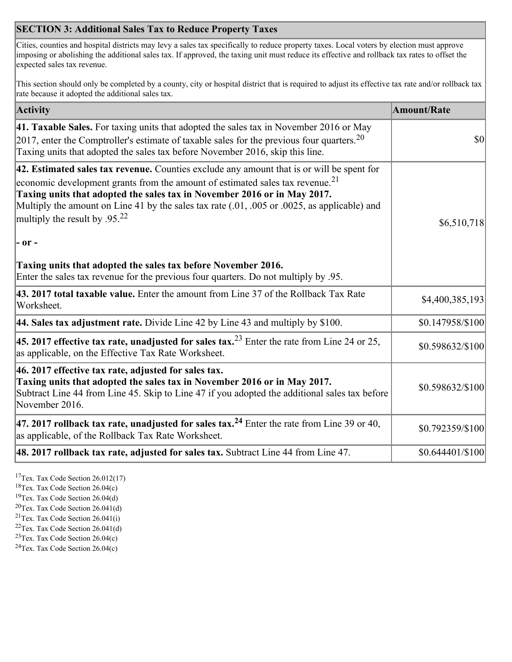## **SECTION 3: Additional Sales Tax to Reduce Property Taxes**

Cities, counties and hospital districts may levy a sales tax specifically to reduce property taxes. Local voters by election must approve imposing or abolishing the additional sales tax. If approved, the taxing unit must reduce its effective and rollback tax rates to offset the expected sales tax revenue.

This section should only be completed by a county, city or hospital district that is required to adjust its effective tax rate and/or rollback tax rate because it adopted the additional sales tax.

| <b>Activity</b>                                                                                                                                                                                                                                                                                                                                                                                         | <b>Amount/Rate</b>                  |
|---------------------------------------------------------------------------------------------------------------------------------------------------------------------------------------------------------------------------------------------------------------------------------------------------------------------------------------------------------------------------------------------------------|-------------------------------------|
| 41. Taxable Sales. For taxing units that adopted the sales tax in November 2016 or May<br>[2017, enter the Comptroller's estimate of taxable sales for the previous four quarters. <sup>20</sup><br>Taxing units that adopted the sales tax before November 2016, skip this line.                                                                                                                       | $\vert \mathbf{S} \mathbf{O} \vert$ |
| 42. Estimated sales tax revenue. Counties exclude any amount that is or will be spent for<br>economic development grants from the amount of estimated sales tax revenue. <sup>21</sup><br>Taxing units that adopted the sales tax in November 2016 or in May 2017.<br>Multiply the amount on Line 41 by the sales tax rate (.01, .005 or .0025, as applicable) and<br>multiply the result by $.95^{22}$ | \$6,510,718                         |
| - or -                                                                                                                                                                                                                                                                                                                                                                                                  |                                     |
| Taxing units that adopted the sales tax before November 2016.<br>Enter the sales tax revenue for the previous four quarters. Do not multiply by .95.                                                                                                                                                                                                                                                    |                                     |
| 43. 2017 total taxable value. Enter the amount from Line 37 of the Rollback Tax Rate<br>Worksheet.                                                                                                                                                                                                                                                                                                      | \$4,400,385,193                     |
| 44. Sales tax adjustment rate. Divide Line 42 by Line 43 and multiply by \$100.                                                                                                                                                                                                                                                                                                                         | \$0.147958/\$100                    |
| 45. 2017 effective tax rate, unadjusted for sales tax. <sup>23</sup> Enter the rate from Line 24 or 25,<br>as applicable, on the Effective Tax Rate Worksheet.                                                                                                                                                                                                                                          | \$0.598632/\$100                    |
| 46. 2017 effective tax rate, adjusted for sales tax.<br>Taxing units that adopted the sales tax in November 2016 or in May 2017.<br>Subtract Line 44 from Line 45. Skip to Line 47 if you adopted the additional sales tax before<br>November 2016.                                                                                                                                                     | \$0.598632/\$100                    |
| 47. 2017 rollback tax rate, unadjusted for sales tax. <sup>24</sup> Enter the rate from Line 39 or 40,<br>as applicable, of the Rollback Tax Rate Worksheet.                                                                                                                                                                                                                                            | \$0.792359/\$100                    |
| $ 48.2017$ rollback tax rate, adjusted for sales tax. Subtract Line 44 from Line 47.                                                                                                                                                                                                                                                                                                                    | \$0.644401/\$100                    |

<sup>17</sup>Tex. Tax Code Section 26.012(17)

<sup>18</sup>Tex. Tax Code Section 26.04(c)

<sup>19</sup>Tex. Tax Code Section 26.04(d)

<sup>20</sup>Tex. Tax Code Section 26.041(d)

- $21$ Tex. Tax Code Section 26.041(i)
- <sup>22</sup>Tex. Tax Code Section 26.041(d)
- <sup>23</sup>Tex. Tax Code Section  $26.04(c)$

<sup>24</sup>Tex. Tax Code Section  $26.04(c)$